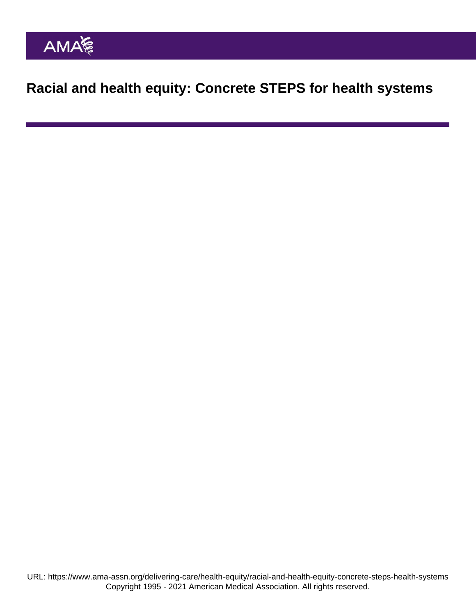Racial and health equity: Concrete STEPS for health systems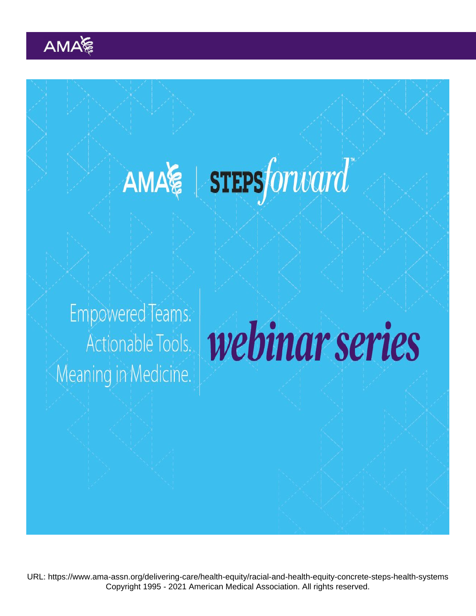URL: <https://www.ama-assn.org/delivering-care/health-equity/racial-and-health-equity-concrete-steps-health-systems> Copyright 1995 - 2021 American Medical Association. All rights reserved.